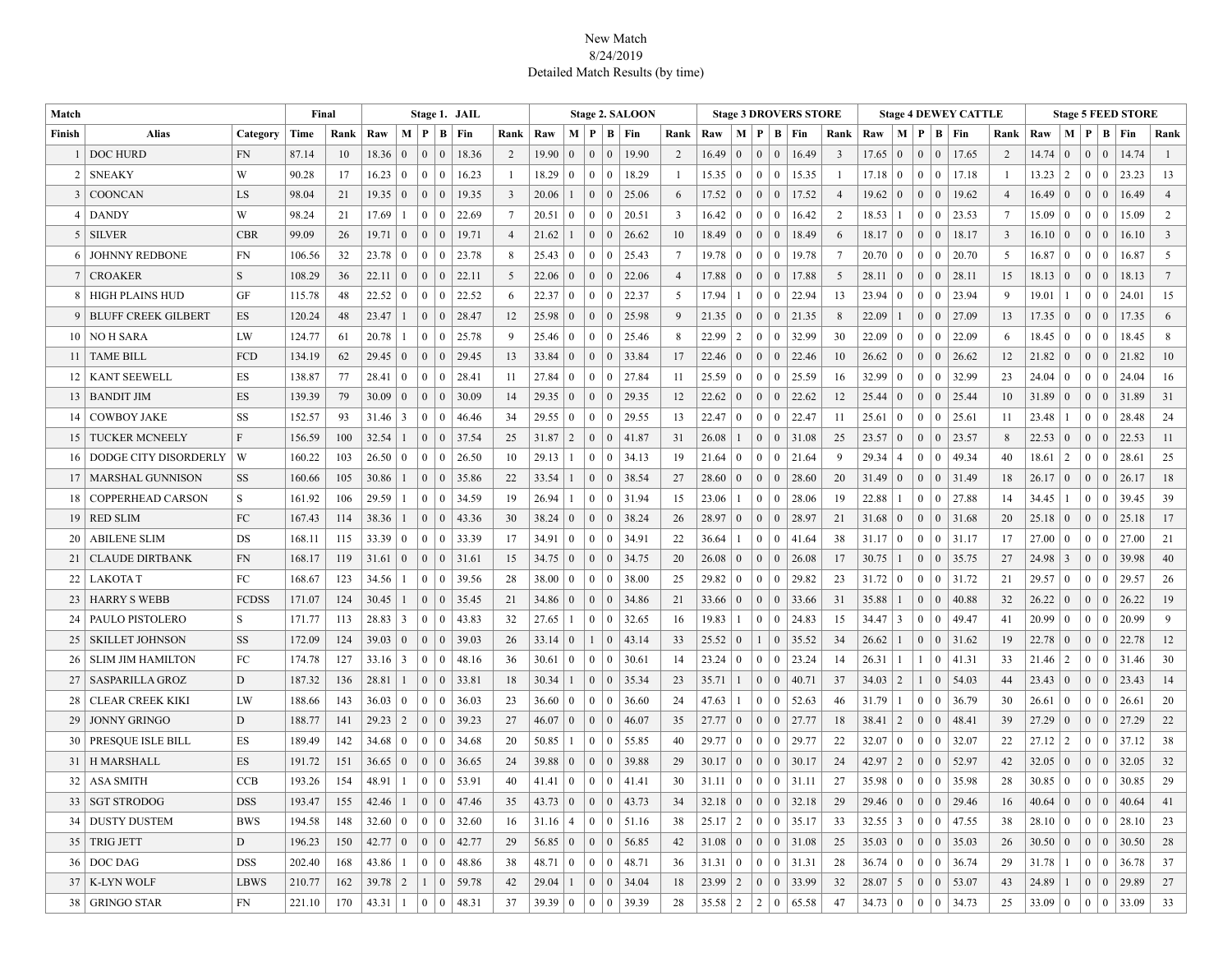## New Match 8/24/2019 Detailed Match Results (by time)

| Match  | Final                      |              | Stage 1. JAIL |      |             |                 |                |                  |       |                |                   |                 | <b>Stage 2. SALOON</b> |                    | <b>Stage 3 DROVERS STORE</b> |                 |       |                 |                 |                |                 |                |       | <b>Stage 4 DEWEY CATTLE</b> |                   |                                            |                 |       | <b>Stage 5 FEED STORE</b> |                 |                |                 |                 |
|--------|----------------------------|--------------|---------------|------|-------------|-----------------|----------------|------------------|-------|----------------|-------------------|-----------------|------------------------|--------------------|------------------------------|-----------------|-------|-----------------|-----------------|----------------|-----------------|----------------|-------|-----------------------------|-------------------|--------------------------------------------|-----------------|-------|---------------------------|-----------------|----------------|-----------------|-----------------|
| Finish | <b>Alias</b>               | Category     | Time          | Rank | Raw         | $M \mid P$      |                | B                | Fin   | Rank           | Raw               | M   P   B       |                        |                    | Fin                          | Rank            | Raw   |                 |                 |                | M   P   B   Fin | Rank           | Raw   |                             |                   | M   P   B   Fin                            | Rank            | Raw   |                           |                 |                | M   P   B   Fin | Rank            |
|        | <b>DOC HURD</b>            | <b>FN</b>    | 87.14         | 10   | 18.36       | $\Omega$        | $\mathbf{0}$   | $\mathbf{0}$     | 18.36 | 2              | 19.90             | $\mathbf{0}$    | $\Omega$               | $\overline{0}$     | 19.90                        | 2               | 16.49 | $\mathbf{0}$    | $\overline{0}$  | $\overline{0}$ | 16.49           | $\overline{3}$ | 17.65 | $\overline{0}$              | $\Omega$          | $\overline{0}$<br>17.65                    | 2               | 14.74 | $\overline{0}$            | $\overline{0}$  | $\overline{0}$ | 14.74           | -1              |
| 2      | <b>SNEAKY</b>              | W            | 90.28         | 17   | 16.23       | $\overline{0}$  | $\overline{0}$ | $\overline{0}$   | 16.23 | -1             | 18.29             | $\overline{0}$  | $0 \mid 0$             |                    | 18.29                        | $\overline{1}$  | 15.35 | $\mathbf{0}$    | $\overline{0}$  | $\mathbf{0}$   | 15.35           | -1             | 17.18 | $\overline{0}$              | $0 \mid 0$        | 17.18                                      | $\overline{1}$  | 13.23 | 2                         | $\overline{0}$  | $\mathbf{0}$   | 23.23           | 13              |
| 3      | COONCAN                    | LS           | 98.04         | 21   | 19.35       | $\overline{0}$  | $\overline{0}$ | $\Omega$         | 19.35 | $\overline{3}$ | 20.06             | $\mathbf{1}$    | $0 \mid 0$             |                    | 25.06                        | 6               | 17.52 | $\overline{0}$  | $\overline{0}$  | $\overline{0}$ | 17.52           | $\overline{4}$ | 19.62 | $\mathbf{0}$                | 0 <sup>1</sup>    | $\overline{0}$<br>19.62                    | $\overline{4}$  | 16.49 | $\mathbf{0}$              | $\overline{0}$  | $\overline{0}$ | 16.49           | $\overline{4}$  |
| 4      | <b>DANDY</b>               | W            | 98.24         | 21   | 17.69       |                 | $\Omega$       | $\Omega$         | 22.69 | $\overline{7}$ | 20.51             | $\mathbf{0}$    | $0 \mid 0$             |                    | 20.51                        | 3               | 16.42 | $\bf{0}$        | $\Omega$        | $\bf{0}$       | 16.42           | 2              | 18.53 | $\mathbf{1}$                | $\Omega$          | $\overline{0}$<br>23.53                    | $7\phantom{.0}$ | 15.09 | $\Omega$                  | $\Omega$        | $\overline{0}$ | 15.09           | 2               |
| 5      | <b>SILVER</b>              | <b>CBR</b>   | 99.09         | 26   | 19.71       | $\overline{0}$  | $\overline{0}$ | $\Omega$         | 19.71 | $\overline{4}$ | 21.62             | $\mathbf{1}$    | 0 <sup>1</sup>         |                    | 26.62                        | 10              | 18.49 | $\overline{0}$  | $\theta$        | $\overline{0}$ | 18.49           | 6              | 18.17 | $\overline{0}$              | $\Omega$          | $\overline{0}$<br>18.17                    | 3               | 16.10 | $\overline{0}$            | $\theta$        | $\theta$       | 16.10           | $\overline{3}$  |
| 6      | <b>JOHNNY REDBONE</b>      | FN           | 106.56        | 32   | 23.78       | $\mathbf{0}$    | $\overline{0}$ | $\overline{0}$   | 23.78 | 8              | 25.43             | $\overline{0}$  | $0 \mid 0$             |                    | 25.43                        | $7\phantom{.0}$ | 19.78 | $\overline{0}$  | $\overline{0}$  | $\overline{0}$ | 19.78           | $\overline{7}$ | 20.70 | $\mathbf{0}$                | 0 <sup>1</sup>    | $\vert 0 \vert$<br>20.70                   | 5               | 16.87 | $\mathbf{0}$              | $\overline{0}$  | $\overline{0}$ | 16.87           | 5               |
| 7      | <b>CROAKER</b>             | S            | 108.29        | 36   | 22.11       | $\mathbf{0}$    | $\overline{0}$ | $\Omega$         | 22.11 | 5              | 22.06             | $\overline{0}$  | $0 \mid 0$             |                    | 22.06                        | $\overline{4}$  | 17.88 | $\overline{0}$  | $\overline{0}$  | $\overline{0}$ | 17.88           | 5              | 28.11 | $\overline{0}$              | $\overline{0}$    | $\mathbf{0}$<br>28.11                      | 15              | 18.13 | $\mathbf{0}$              | $\overline{0}$  | $\overline{0}$ | 18.13           | $7\phantom{.0}$ |
| 8      | <b>HIGH PLAINS HUD</b>     | GF           | 115.78        | 48   | 22.52       | $\Omega$        | $\Omega$       | $\theta$         | 22.52 | 6              | 22.37             | $\overline{0}$  | $\overline{0}$         | $\vert 0 \vert$    | 22.37                        | .5              | 17.94 |                 | $\overline{0}$  | $\overline{0}$ | 22.94           | 13             | 23.94 | $\mathbf{0}$                | $\Omega$          | $\overline{0}$<br>23.94                    | 9               | 19.01 |                           | $\overline{0}$  | $\overline{0}$ | 24.01           | 15              |
| 9      | <b>BLUFF CREEK GILBERT</b> | ES           | 120.24        | 48   | 23.47       | 1               | $\overline{0}$ | $\mathbf{0}$     | 28.47 | 12             | 25.98             | $\overline{0}$  | $0 \mid 0$             |                    | 25.98                        | 9               | 21.35 | $\overline{0}$  | $\overline{0}$  | $\mathbf{0}$   | 21.35           | 8              | 22.09 | $\mathbf{1}$                | $\overline{0}$    | $\overline{0}$<br>27.09                    | 13              | 17.35 | $\mathbf{0}$              | $\overline{0}$  | $\overline{0}$ | 17.35           | 6               |
| 10     | <b>NO H SARA</b>           | LW           | 124.77        | 61   | 20.78       | 1               | $\Omega$       | $\bf{0}$         | 25.78 | 9              | 25.46             | $\bf{0}$        | $0 \mid 0$             |                    | 25.46                        | 8               | 22.99 | 2               | $\theta$        | $\overline{0}$ | 32.99           | 30             | 22.09 | $\overline{0}$              | $\Omega$          | $\bf{0}$<br>22.09                          | 6               | 18.45 | $\mathbf{0}$              | $\Omega$        | $\overline{0}$ | 18.45           | 8               |
| 11     | <b>TAME BILL</b>           | FCD          | 134.19        | 62   | 29.45       | $\overline{0}$  | $\Omega$       | $\Omega$         | 29.45 | 13             | 33.84             | $\overline{0}$  | $\overline{0}$         | $\overline{0}$     | 33.84                        | 17              | 22.46 | $\overline{0}$  | $\theta$        | $\overline{0}$ | 22.46           | 10             | 26.62 | $\mathbf{0}$                | $\Omega$          | $\overline{0}$<br>26.62                    | 12              | 21.82 | $\overline{0}$            | $\theta$        | $\overline{0}$ | 21.82           | 10              |
| 12     | <b>KANT SEEWELL</b>        | ES           | 138.87        | 77   | 28.41       | $\overline{0}$  | $\overline{0}$ | $\theta$         | 28.41 | -11            | 27.84             | $\overline{0}$  | $0-1$                  | $\vert 0 \vert$    | 27.84                        | 11              | 25.59 | $\overline{0}$  | $\theta$        | $\overline{0}$ | 25.59           | 16             | 32.99 | $\overline{0}$              | $\Omega$          | $\mathbf{0}$<br>32.99                      | 23              | 24.04 | $\mathbf{0}$              | $\mathbf{0}$    | $\overline{0}$ | 24.04           | 16              |
| 13     | <b>BANDIT JIM</b>          | ES           | 139.39        | 79   | 30.09       | $\mathbf{0}$    | $\overline{0}$ | $\Omega$         | 30.09 | 14             | 29.35             | $\overline{0}$  | $0 \mid 0$             |                    | 29.35                        | 12              | 22.62 | $\overline{0}$  | $\overline{0}$  | $\overline{0}$ | 22.62           | 12             | 25.44 | $\mathbf{0}$                | $\overline{0}$    | $\overline{0}$<br>25.44                    | 10              | 31.89 | $\mathbf{0}$              | $\overline{0}$  | $\overline{0}$ | 31.89           | 31              |
| 14     | <b>COWBOY JAKE</b>         | SS           | 152.57        | 93   | 31.46       | $\vert 3 \vert$ | $\overline{0}$ | $\boldsymbol{0}$ | 46.46 | 34             | $29.55 \mid 0$    |                 | $0 \mid 0$             |                    | 29.55                        | 13              | 22.47 | $\vert 0 \vert$ | $\vert 0 \vert$ | $\mathbf{0}$   | 22.47           | 11             | 25.61 | $\vert 0 \vert$             | $0 \mid 0$        | 25.61                                      | 11              | 23.48 | $\mathbf{1}$              | $\mathbf{0}$    | $\overline{0}$ | 28.48           | 24              |
| 15     | <b>TUCKER MCNEELY</b>      | F            | 156.59        | 100  | 32.54       |                 | $\Omega$       | $\Omega$         | 37.54 | 25             | $31.87$   2       |                 | $0 \mid 0$             |                    | 41.87                        | 31              | 26.08 | $\mathbf{1}$    | $\mathbf{0}$    | $\overline{0}$ | 31.08           | 25             | 23.57 | $\mathbf{0}$                | $\Omega$          | $\mathbf{0}$<br>23.57                      | 8               | 22.53 | $\mathbf{0}$              | $\mathbf{0}$    | $\overline{0}$ | 22.53           | 11              |
| 16     | DODGE CITY DISORDERLY      | W            | 160.22        | 103  | 26.50       | $\Omega$        | $\theta$       | $\Omega$         | 26.50 | 10             | 29.13             | $\vert$ 1       | $0 \mid 0$             |                    | 34.13                        | 19              | 21.64 | $\bf{0}$        | $\Omega$        | $\overline{0}$ | 21.64           | 9              | 29.34 | $\vert 4 \vert$             | $\Omega$          | $\overline{0}$<br>49.34                    | 40              | 18.61 | 2                         | $\Omega$        | $\overline{0}$ | 28.61           | 25              |
| 17     | MARSHAL GUNNISON           | SS           | 160.66        | 105  | 30.86       |                 | 0 <sup>1</sup> | $\overline{0}$   | 35.86 | 22             | 33.54             | $\mathbf{1}$    | $0 \mid 0$             |                    | 38.54                        | 27              | 28.60 | $\overline{0}$  | $\overline{0}$  | $\overline{0}$ | 28.60           | 20             | 31.49 | $\overline{0}$              | $\theta$          | $\overline{0}$<br>31.49                    | 18              | 26.17 | $\overline{0}$            | $\overline{0}$  | $\mathbf{0}$   | 26.17           | 18              |
| 18     | <b>COPPERHEAD CARSON</b>   | S            | 161.92        | 106  | 29.59       |                 | $\overline{0}$ | $\Omega$         | 34.59 | 19             | 26.94             | 1               | $0 \mid 0$             |                    | 31.94                        | 15              | 23.06 | 1               | $\mathbf{0}$    | $\mathbf{0}$   | 28.06           | 19             | 22.88 | $\mathbf{1}$                | $\Omega$          | 27.88<br>$\overline{0}$                    | 14              | 34.45 | 1                         | $\mathbf{0}$    | $\mathbf{0}$   | 39.45           | 39              |
| 19     | <b>RED SLIM</b>            | FC           | 167.43        | 114  | 38.36       |                 | $\overline{0}$ | $\Omega$         | 43.36 | 30             | 38.24             | $\mathbf{0}$    | $\overline{0}$         | $\overline{0}$     | 38.24                        | 26              | 28.97 | $\overline{0}$  | $\overline{0}$  | $\overline{0}$ | 28.97           | 21             | 31.68 | $\mathbf{0}$                | $\overline{0}$    | $\overline{0}$<br>31.68                    | 20              | 25.18 | $\mathbf{0}$              | $\overline{0}$  | $\overline{0}$ | 25.18           | 17              |
| 20     | <b>ABILENE SLIM</b>        | DS           | 168.11        | 115  | 33.39       | $\overline{0}$  | $\overline{0}$ | $\Omega$         | 33.39 | 17             | $34.91 \mid 0$    |                 | $0 \mid 0$             |                    | 34.91                        | 22              | 36.64 | $\mathbf{1}$    | $\mathbf{0}$    | $\overline{0}$ | 41.64           | 38             | 31.17 | $\vert 0 \vert$             | $\Omega$          | $\overline{0}$<br>31.17                    | 17              | 27.00 | $\overline{0}$            | $\theta$        | $\overline{0}$ | 27.00           | 21              |
| 21     | <b>CLAUDE DIRTBANK</b>     | FN           | 168.17        | 119  | 31.61       | $\vert 0 \vert$ | $\overline{0}$ | $\mathbf{0}$     | 31.61 | 15             | 34.75             | $\vert 0 \vert$ | $0 \mid 0$             |                    | 34.75                        | 20              | 26.08 | $\vert 0 \vert$ | $\overline{0}$  | $\overline{0}$ | 26.08           | 17             | 30.75 | $\mathbf{1}$                | $\overline{0}$    | $\overline{0}$<br>35.75                    | 27              | 24.98 | $\mathbf{3}$              | $\vert 0 \vert$ | $\overline{0}$ | 39.98           | 40              |
| 22     | <b>LAKOTAT</b>             | FC           | 168.67        | 123  | 34.56       | -1              | $\overline{0}$ | $\Omega$         | 39.56 | 28             | $38.00 \mid 0$    |                 | 0 <sup>10</sup>        |                    | 38.00                        | 25              | 29.82 | $\overline{0}$  | $\bf{0}$        | $\mathbf{0}$   | 29.82           | 23             | 31.72 | $\overline{0}$              | $0 \mid 0$        | 31.72                                      | 21              | 29.57 | $\bf{0}$                  | $\bf{0}$        | $\mathbf{0}$   | 29.57           | 26              |
| 23     | <b>HARRY S WEBB</b>        | <b>FCDSS</b> | 171.07        | 124  | 30.45       |                 | $\overline{0}$ | $\Omega$         | 35.45 | 21             | 34.86             | $\bf{0}$        | $0 \mid 0$             |                    | 34.86                        | 21              | 33.66 | $\theta$        | $\mathbf{0}$    | $\overline{0}$ | 33.66           | 31             | 35.88 | 1                           | $\Omega$          | 40.88<br>$\overline{0}$                    | 32              | 26.22 | $\overline{0}$            | $\mathbf{0}$    | $\overline{0}$ | 26.22           | 19              |
| 24     | PAULO PISTOLERO            | S            | 171.77        | 113  | 28.83       | 3               | $\overline{0}$ | $\Omega$         | 43.83 | 32             | 27.65             | $\mathbf{1}$    | $0 \mid 0$             |                    | 32.65                        | 16              | 19.83 |                 | $\overline{0}$  | $\overline{0}$ | 24.83           | 15             | 34.47 | $\overline{3}$              | $\Omega$          | $\overline{0}$<br>49.47                    | 41              | 20.99 | $\mathbf{0}$              | $\overline{0}$  | $\overline{0}$ | 20.99           | 9               |
| 25     | <b>SKILLET JOHNSON</b>     | <b>SS</b>    | 172.09        | 124  | 39.03       | $\overline{0}$  | $\overline{0}$ | $\overline{0}$   | 39.03 | 26             | $33.14 \mid 0$    |                 | 1 <sup>1</sup>         | $\overline{0}$     | 43.14                        | 33              | 25.52 | $\overline{0}$  | $\mathbf{1}$    | $\overline{0}$ | 35.52           | 34             | 26.62 | $\mathbf{1}$                | $\overline{0}$    | $\overline{0}$<br>31.62                    | 19              | 22.78 | $\mathbf{0}$              | $\mathbf{0}$    | $\overline{0}$ | 22.78           | 12              |
| 26     | <b>SLIM JIM HAMILTON</b>   | FC           | 174.78        | 127  | 33.16       | $\vert 3 \vert$ | $\overline{0}$ | $\theta$         | 48.16 | 36             | $30.61 \,   \, 0$ |                 | 0 <sup>1</sup>         | $\vert 0 \vert$    | 30.61                        | 14              | 23.24 | $\bf{0}$        | $\mathbf{0}$    | $\overline{0}$ | 23.24           | 14             | 26.31 | -1                          | $\mathbf{1}$      | $\bf{0}$<br>41.31                          | 33              | 21.46 | 2                         | $\overline{0}$  | $\overline{0}$ | 31.46           | 30              |
| 27     | SASPARILLA GROZ            | ${\rm D}$    | 187.32        | 136  | 28.81       | 1               | $\mathbf{0}$   | $\Omega$         | 33.81 | 18             | 30.34             | $\overline{1}$  | $\overline{0}$         | $\overline{0}$     | 35.34                        | 23              | 35.71 | $\mathbf{1}$    | $\mathbf{0}$    | $\cdot$ 0      | 40.71           | 37             | 34.03 | $\vert 2 \vert$             | $\overline{1}$    | $\mathbf{0}$<br>54.03                      | 44              | 23.43 | $\overline{0}$            | $\theta$        | $\overline{0}$ | 23.43           | 14              |
| 28     | <b>CLEAR CREEK KIKI</b>    | LW           | 188.66        | 143  | 36.03       | $\overline{0}$  | $\overline{0}$ | $\Omega$         | 36.03 | 23             | $36.60 \mid 0$    |                 | 0 <sup>1</sup>         |                    | 36.60                        | 24              | 47.63 | 1               | $\overline{0}$  | $\overline{0}$ | 52.63           | 46             | 31.79 | $\mathbf{1}$                | $0-1$             | $\overline{0}$<br>36.79                    | 30              | 26.61 | $\overline{0}$            | $\overline{0}$  | $\overline{0}$ | 26.61           | 20              |
| 29     | <b>JONNY GRINGO</b>        | D            | 188.77        | 141  | $29.23$   2 |                 | $\overline{0}$ | $\overline{0}$   | 39.23 | 27             | 46.07             | $\overline{0}$  | $0 \mid 0$             |                    | 46.07                        | 35              | 27.77 | $\vert 0 \vert$ | $\overline{0}$  | $\overline{0}$ | 27.77           | 18             | 38.41 | $\vert 2 \vert$             | $\overline{0}$    | $\overline{0}$<br>48.41                    | 39              | 27.29 | $\overline{0}$            | $\overline{0}$  | $\overline{0}$ | 27.29           | 22              |
| 30     | PRESQUE ISLE BILL          | ES           | 189.49        | 142  | 34.68       | $\Omega$        | $\Omega$       | $\theta$         | 34.68 | 20             | 50.85             | $\mathbf{1}$    | $0 \mid 0$             |                    | 55.85                        | 40              | 29.77 | $\bf{0}$        | $\overline{0}$  | $\overline{0}$ | 29.77           | 22             | 32.07 | $\overline{0}$              | $\mathbf{0}$      | $\overline{0}$<br>32.07                    | 22              | 27.12 | 2                         | $\overline{0}$  | $\overline{0}$ | 37.12           | 38              |
| 31     | <b>H MARSHALL</b>          | ES           | 191.72        | 151  | 36.65       | $\mathbf{0}$    | $\overline{0}$ | $\mathbf{0}$     | 36.65 | 24             | 39.88             | $\overline{0}$  | $0 \mid 0$             |                    | 39.88                        | 29              | 30.17 | $\vert 0 \vert$ | $\overline{0}$  | $\overline{0}$ | 30.17           | 24             | 42.97 | $\overline{2}$              | $\vert$ 0 $\vert$ | $\begin{pmatrix} 0 \end{pmatrix}$<br>52.97 | 42              | 32.05 | $\overline{0}$            | $\overline{0}$  | $\overline{0}$ | 32.05           | 32              |
| 32     | <b>ASA SMITH</b>           | <b>CCB</b>   | 193.26        | 154  | 48.91       |                 | $\overline{0}$ | $\boldsymbol{0}$ | 53.91 | 40             | 41.41             | $\overline{0}$  | $0 \mid 0$             |                    | 41.41                        | 30              | 31.11 | $\bf{0}$        | $\overline{0}$  | $\overline{0}$ | 31.11           | 27             | 35.98 | $\overline{0}$              | 0 <sup>1</sup>    | $\vert 0 \vert$<br>35.98                   | 28              | 30.85 | $\mathbf{0}$              | $\overline{0}$  | $\overline{0}$ | 30.85           | 29              |
| 33     | <b>SGT STRODOG</b>         | <b>DSS</b>   | 193.47        | 155  | 42.46       |                 | $\Omega$       | $\Omega$         | 47.46 | 35             | 43.73             | $\mathbf{0}$    | $\overline{0}$         | $\left( 0 \right)$ | 43.73                        | 34              | 32.18 | $\mathbf{0}$    | $\theta$        | $\overline{0}$ | 32.18           | 29             | 29.46 | $\mathbf{0}$                | $\theta$          | $\mathbf{0}$<br>29.46                      | 16              | 40.64 | $\mathbf{0}$              | $\theta$        | $\overline{0}$ | 40.64           | 41              |
| 34     | <b>DUSTY DUSTEM</b>        | <b>BWS</b>   | 194.58        | 148  | 32.60       | $\theta$        | $\overline{0}$ | $\Omega$         | 32.60 | 16             | 31.16             | $\overline{4}$  | $\overline{0}$         | $\overline{0}$     | 51.16                        | 38              | 25.17 | $\sqrt{2}$      | $\mathbf{0}$    | $\overline{0}$ | 35.17           | 33             | 32.55 | 3                           | $\Omega$          | $\mathbf{0}$<br>47.55                      | 38              | 28.10 | $\overline{0}$            | $\mathbf{0}$    | $\overline{0}$ | 28.10           | 23              |
| 35     | <b>TRIG JETT</b>           | D            | 196.23        | 150  | 42.77       | $\overline{0}$  | $\overline{0}$ | $\theta$         | 42.77 | 29             | 56.85             | $\overline{0}$  | $0 \mid 0$             |                    | 56.85                        | 42              | 31.08 | $\vert 0 \vert$ | $\overline{0}$  | $\overline{0}$ | 31.08           | 25             | 35.03 | $\overline{0}$              | $\theta$          | $\overline{0}$<br>35.03                    | 26              | 30.50 | $\overline{0}$            | $\overline{0}$  | $\overline{0}$ | 30.50           | 28              |
| 36     | DOC DAG                    | <b>DSS</b>   | 202.40        | 168  | 43.86       | 1               | $\overline{0}$ | $\mathbf{0}$     | 48.86 | 38             | $48.71 \,   \, 0$ |                 | $0 \mid 0$             |                    | 48.71                        | 36              | 31.31 | $\vert 0 \vert$ | $\overline{0}$  | $\mathbf{0}$   | 31.31           | 28             | 36.74 | $\mathbf{0}$                | $0 \mid 0$        | 36.74                                      | 29              | 31.78 | 1                         | $\overline{0}$  | $\mathbf{0}$   | 36.78           | 37              |
| 37     | <b>K-LYN WOLF</b>          | <b>LBWS</b>  | 210.77        | 162  | 39.78       | $\sqrt{2}$      |                | $\Omega$         | 59.78 | 42             | 29.04             | $\mathbf{1}$    | $\overline{0}$         | $\mathbf{0}$       | 34.04                        | 18              | 23.99 | 2               | $\overline{0}$  | $\overline{0}$ | 33.99           | 32             | 28.07 | 5                           | $\overline{0}$    | $\overline{0}$<br>53.07                    | 43              | 24.89 | $\mathbf{1}$              | $\overline{0}$  | $\overline{0}$ | 29.89           | 27              |
| 38     | <b>GRINGO STAR</b>         | FN           | 221.10        | 170  | 43.31       |                 | $\mathbf{0}$   | $\mathbf{0}$     | 48.31 | 37             | 39.39             | $\mathbf{0}$    | $\mathbf{0}$           | $\overline{0}$     | 39.39                        | 28              | 35.58 | 2               | $\sqrt{2}$      | $\mathbf{0}$   | 65.58           | 47             | 34.73 | $\mathbf{0}$                | $\mathbf{0}$      | $\overline{0}$<br>34.73                    | 25              | 33.09 | $\mathbf{0}$              | $\mathbf{0}$    | $\mathbf{0}$   | 33.09           | 33              |